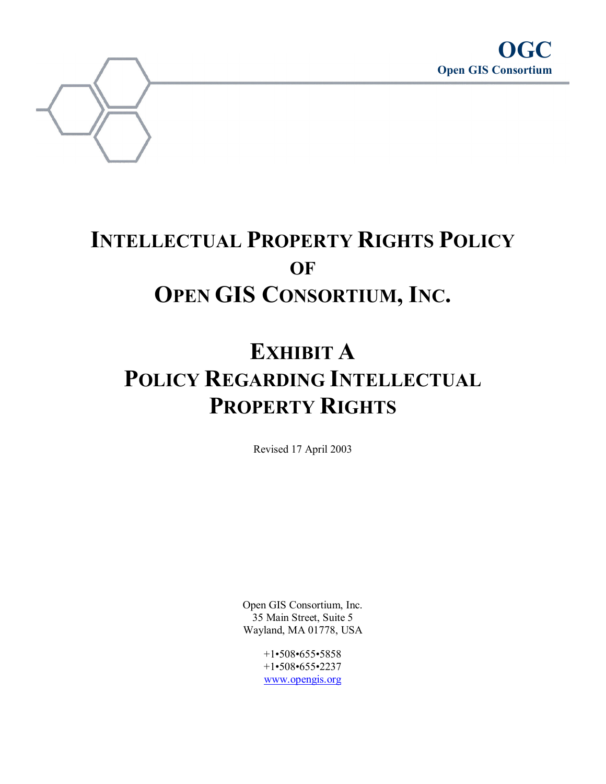

# **INTELLECTUAL PROPERTY RIGHTS POLICY OF OPEN GIS CONSORTIUM, INC.**

# **EXHIBIT A POLICY REGARDING INTELLECTUAL PROPERTY RIGHTS**

Revised 17 April 2003

Open GIS Consortium, Inc. 35 Main Street, Suite 5 Wayland, MA 01778, USA

> +1•508•655•5858 +1•508•655•2237 www.opengis.org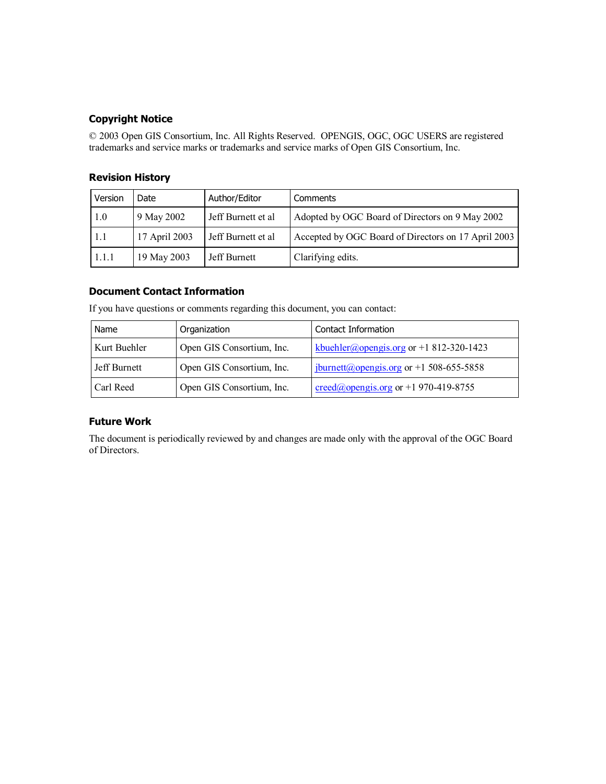## **Copyright Notice**

© 2003 Open GIS Consortium, Inc. All Rights Reserved. OPENGIS, OGC, OGC USERS are registered trademarks and service marks or trademarks and service marks of Open GIS Consortium, Inc.

### **Revision History**

| Version | Date          | Author/Editor      | Comments                                            |
|---------|---------------|--------------------|-----------------------------------------------------|
| 1.0     | 9 May 2002    | Jeff Burnett et al | Adopted by OGC Board of Directors on 9 May 2002     |
| 1.1     | 17 April 2003 | Jeff Burnett et al | Accepted by OGC Board of Directors on 17 April 2003 |
| 1.1.1   | 19 May 2003   | Jeff Burnett       | Clarifying edits.                                   |

#### **Document Contact Information**

| Name         | Organization              | Contact Information                                                               |
|--------------|---------------------------|-----------------------------------------------------------------------------------|
| Kurt Buehler | Open GIS Consortium, Inc. | kbuehler@opengis.org or +1 812-320-1423                                           |
| Jeff Burnett | Open GIS Consortium, Inc. | $\frac{1 \text{ jburnett}(a) \text{opengis.org}}{1 \text{ jbm} \cdot 655 - 5858}$ |
| Carl Reed    | Open GIS Consortium, Inc. | $\text{creed}(a)$ opengis.org or +1 970-419-8755                                  |

If you have questions or comments regarding this document, you can contact:

#### **Future Work**

The document is periodically reviewed by and changes are made only with the approval of the OGC Board of Directors.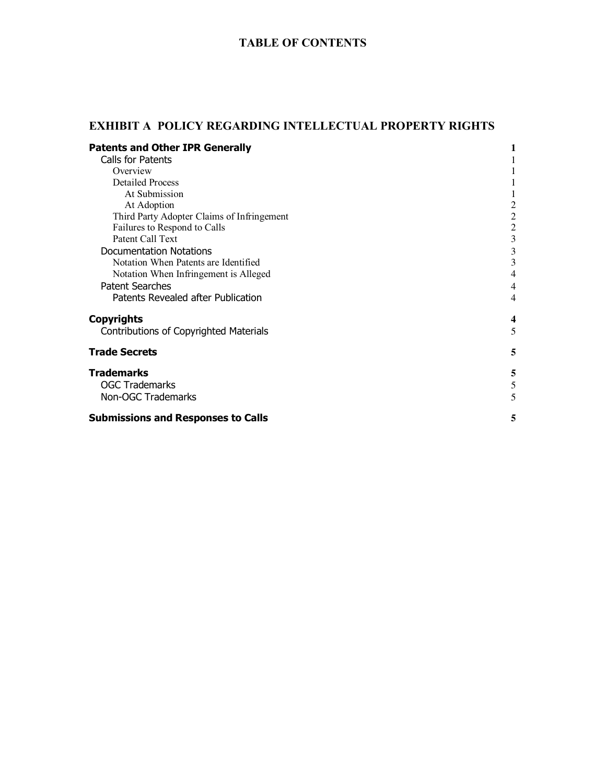# **TABLE OF CONTENTS**

# **EXHIBIT A POLICY REGARDING INTELLECTUAL PROPERTY RIGHTS**

| <b>Patents and Other IPR Generally</b>     |                         |
|--------------------------------------------|-------------------------|
| Calls for Patents                          |                         |
| Overview                                   |                         |
| <b>Detailed Process</b>                    |                         |
| At Submission                              |                         |
| At Adoption                                | $\overline{c}$          |
| Third Party Adopter Claims of Infringement | $\sqrt{2}$              |
| Failures to Respond to Calls               | $\overline{2}$          |
| Patent Call Text                           | $\mathfrak{Z}$          |
| <b>Documentation Notations</b>             | $\mathfrak{Z}$          |
| Notation When Patents are Identified       | 3                       |
| Notation When Infringement is Alleged      | 4                       |
| <b>Patent Searches</b>                     | $\overline{4}$          |
| Patents Revealed after Publication         | $\overline{4}$          |
| <b>Copyrights</b>                          | $\overline{\mathbf{4}}$ |
| Contributions of Copyrighted Materials     | 5                       |
| <b>Trade Secrets</b>                       | 5                       |
| <b>Trademarks</b>                          | 5                       |
| <b>OGC Trademarks</b>                      | 5                       |
| Non-OGC Trademarks                         | 5                       |
| <b>Submissions and Responses to Calls</b>  | 5                       |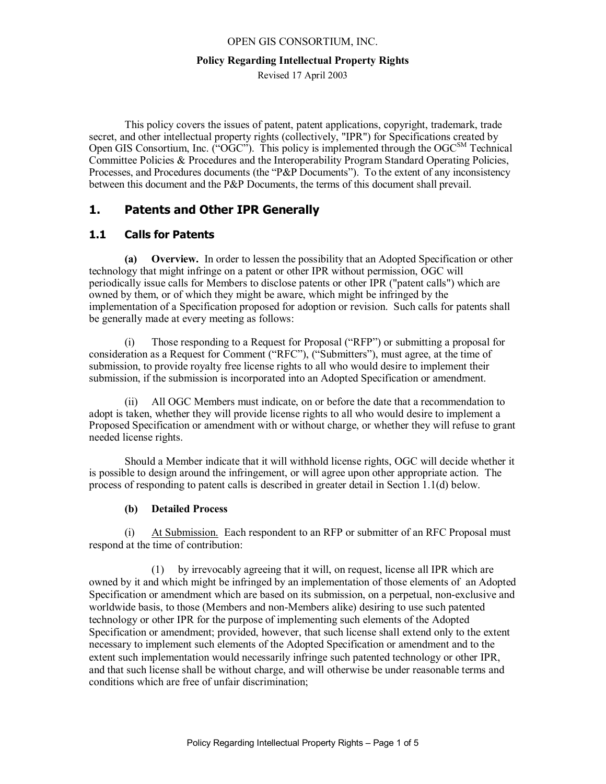#### **Policy Regarding Intellectual Property Rights**

Revised 17 April 2003

This policy covers the issues of patent, patent applications, copyright, trademark, trade secret, and other intellectual property rights (collectively, "IPR") for Specifications created by Open GIS Consortium, Inc.  $({}^{0}OGC^{3})$ . This policy is implemented through the OGC<sup>SM</sup> Technical Committee Policies & Procedures and the Interoperability Program Standard Operating Policies, Processes, and Procedures documents (the "P&P Documents"). To the extent of any inconsistency between this document and the P&P Documents, the terms of this document shall prevail.

# **1. Patents and Other IPR Generally**

# **1.1 Calls for Patents**

**(a) Overview.** In order to lessen the possibility that an Adopted Specification or other technology that might infringe on a patent or other IPR without permission, OGC will periodically issue calls for Members to disclose patents or other IPR ("patent calls") which are owned by them, or of which they might be aware, which might be infringed by the implementation of a Specification proposed for adoption or revision. Such calls for patents shall be generally made at every meeting as follows:

(i) Those responding to a Request for Proposal ("RFP") or submitting a proposal for consideration as a Request for Comment ("RFC"), ("Submitters"), must agree, at the time of submission, to provide royalty free license rights to all who would desire to implement their submission, if the submission is incorporated into an Adopted Specification or amendment.

(ii) All OGC Members must indicate, on or before the date that a recommendation to adopt is taken, whether they will provide license rights to all who would desire to implement a Proposed Specification or amendment with or without charge, or whether they will refuse to grant needed license rights.

Should a Member indicate that it will withhold license rights, OGC will decide whether it is possible to design around the infringement, or will agree upon other appropriate action. The process of responding to patent calls is described in greater detail in Section 1.1(d) below.

## **(b) Detailed Process**

(i) At Submission. Each respondent to an RFP or submitter of an RFC Proposal must respond at the time of contribution:

(1) by irrevocably agreeing that it will, on request, license all IPR which are owned by it and which might be infringed by an implementation of those elements of an Adopted Specification or amendment which are based on its submission, on a perpetual, non-exclusive and worldwide basis, to those (Members and non-Members alike) desiring to use such patented technology or other IPR for the purpose of implementing such elements of the Adopted Specification or amendment; provided, however, that such license shall extend only to the extent necessary to implement such elements of the Adopted Specification or amendment and to the extent such implementation would necessarily infringe such patented technology or other IPR, and that such license shall be without charge, and will otherwise be under reasonable terms and conditions which are free of unfair discrimination;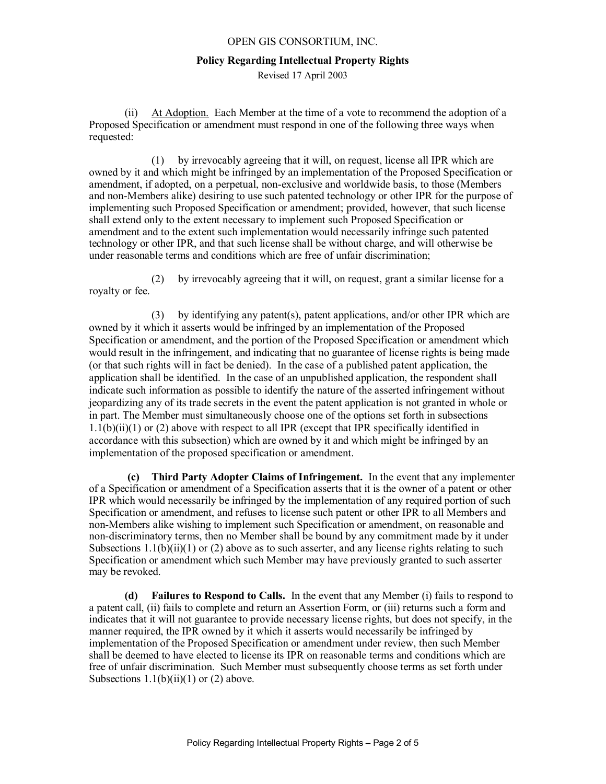#### **Policy Regarding Intellectual Property Rights**

Revised 17 April 2003

(ii) At Adoption. Each Member at the time of a vote to recommend the adoption of a Proposed Specification or amendment must respond in one of the following three ways when requested:

(1) by irrevocably agreeing that it will, on request, license all IPR which are owned by it and which might be infringed by an implementation of the Proposed Specification or amendment, if adopted, on a perpetual, non-exclusive and worldwide basis, to those (Members and non-Members alike) desiring to use such patented technology or other IPR for the purpose of implementing such Proposed Specification or amendment; provided, however, that such license shall extend only to the extent necessary to implement such Proposed Specification or amendment and to the extent such implementation would necessarily infringe such patented technology or other IPR, and that such license shall be without charge, and will otherwise be under reasonable terms and conditions which are free of unfair discrimination;

(2) by irrevocably agreeing that it will, on request, grant a similar license for a royalty or fee.

(3) by identifying any patent(s), patent applications, and/or other IPR which are owned by it which it asserts would be infringed by an implementation of the Proposed Specification or amendment, and the portion of the Proposed Specification or amendment which would result in the infringement, and indicating that no guarantee of license rights is being made (or that such rights will in fact be denied). In the case of a published patent application, the application shall be identified. In the case of an unpublished application, the respondent shall indicate such information as possible to identify the nature of the asserted infringement without jeopardizing any of its trade secrets in the event the patent application is not granted in whole or in part. The Member must simultaneously choose one of the options set forth in subsections  $1.1(b)(ii)(1)$  or (2) above with respect to all IPR (except that IPR specifically identified in accordance with this subsection) which are owned by it and which might be infringed by an implementation of the proposed specification or amendment.

**(c) Third Party Adopter Claims of Infringement.** In the event that any implementer of a Specification or amendment of a Specification asserts that it is the owner of a patent or other IPR which would necessarily be infringed by the implementation of any required portion of such Specification or amendment, and refuses to license such patent or other IPR to all Members and non-Members alike wishing to implement such Specification or amendment, on reasonable and non-discriminatory terms, then no Member shall be bound by any commitment made by it under Subsections  $1.1(b)(ii)(1)$  or (2) above as to such asserter, and any license rights relating to such Specification or amendment which such Member may have previously granted to such asserter may be revoked.

**(d) Failures to Respond to Calls.** In the event that any Member (i) fails to respond to a patent call, (ii) fails to complete and return an Assertion Form, or (iii) returns such a form and indicates that it will not guarantee to provide necessary license rights, but does not specify, in the manner required, the IPR owned by it which it asserts would necessarily be infringed by implementation of the Proposed Specification or amendment under review, then such Member shall be deemed to have elected to license its IPR on reasonable terms and conditions which are free of unfair discrimination. Such Member must subsequently choose terms as set forth under Subsections  $1.1(b)(ii)(1)$  or  $(2)$  above.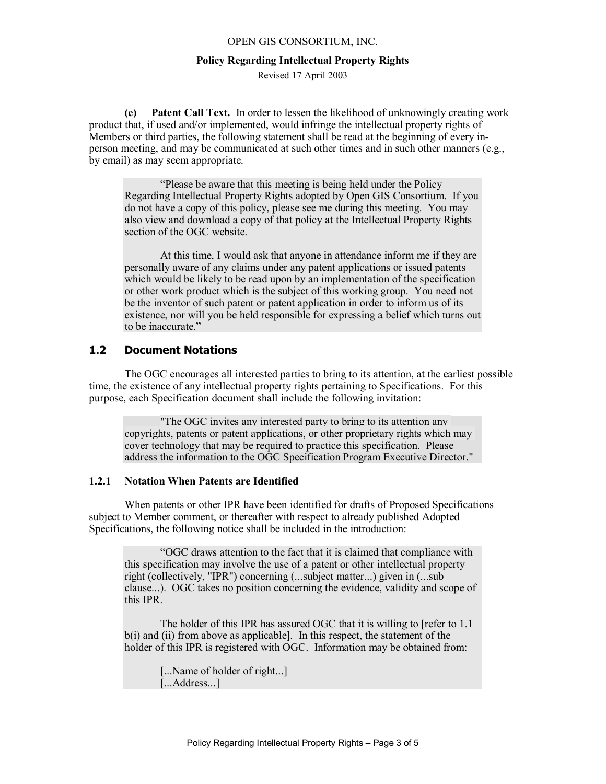#### **Policy Regarding Intellectual Property Rights**

Revised 17 April 2003

**(e) Patent Call Text.** In order to lessen the likelihood of unknowingly creating work product that, if used and/or implemented, would infringe the intellectual property rights of Members or third parties, the following statement shall be read at the beginning of every inperson meeting, and may be communicated at such other times and in such other manners (e.g., by email) as may seem appropriate.

"Please be aware that this meeting is being held under the Policy Regarding Intellectual Property Rights adopted by Open GIS Consortium. If you do not have a copy of this policy, please see me during this meeting. You may also view and download a copy of that policy at the Intellectual Property Rights section of the OGC website.

At this time, I would ask that anyone in attendance inform me if they are personally aware of any claims under any patent applications or issued patents which would be likely to be read upon by an implementation of the specification or other work product which is the subject of this working group. You need not be the inventor of such patent or patent application in order to inform us of its existence, nor will you be held responsible for expressing a belief which turns out to be inaccurate."

# **1.2 Document Notations**

The OGC encourages all interested parties to bring to its attention, at the earliest possible time, the existence of any intellectual property rights pertaining to Specifications. For this purpose, each Specification document shall include the following invitation:

"The OGC invites any interested party to bring to its attention any copyrights, patents or patent applications, or other proprietary rights which may cover technology that may be required to practice this specification. Please address the information to the OGC Specification Program Executive Director."

#### **1.2.1 Notation When Patents are Identified**

When patents or other IPR have been identified for drafts of Proposed Specifications subject to Member comment, or thereafter with respect to already published Adopted Specifications, the following notice shall be included in the introduction:

"OGC draws attention to the fact that it is claimed that compliance with this specification may involve the use of a patent or other intellectual property right (collectively, "IPR") concerning (...subject matter...) given in (...sub clause...). OGC takes no position concerning the evidence, validity and scope of this IPR.

The holder of this IPR has assured OGC that it is willing to [refer to 1.1 b(i) and (ii) from above as applicable]. In this respect, the statement of the holder of this IPR is registered with OGC. Information may be obtained from:

[...Name of holder of right...] [...Address...]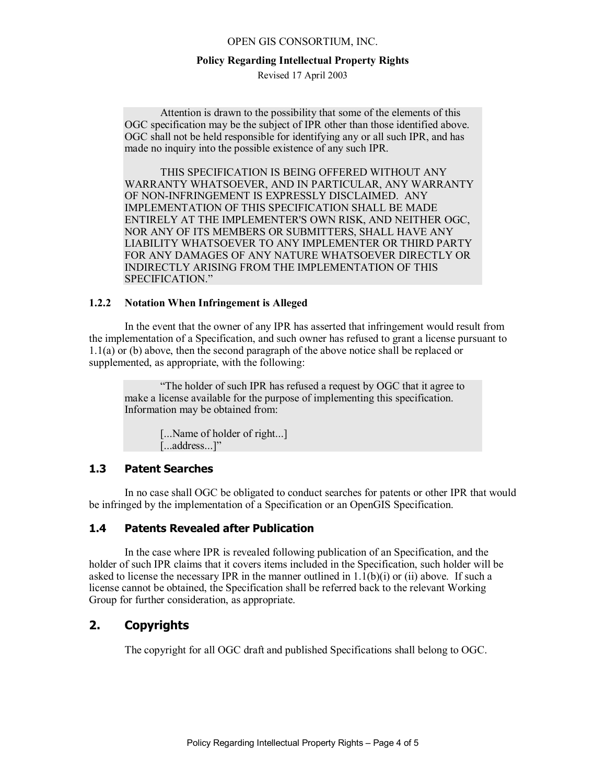#### **Policy Regarding Intellectual Property Rights**

Revised 17 April 2003

Attention is drawn to the possibility that some of the elements of this OGC specification may be the subject of IPR other than those identified above. OGC shall not be held responsible for identifying any or all such IPR, and has made no inquiry into the possible existence of any such IPR.

THIS SPECIFICATION IS BEING OFFERED WITHOUT ANY WARRANTY WHATSOEVER, AND IN PARTICULAR, ANY WARRANTY OF NON-INFRINGEMENT IS EXPRESSLY DISCLAIMED. ANY IMPLEMENTATION OF THIS SPECIFICATION SHALL BE MADE ENTIRELY AT THE IMPLEMENTER'S OWN RISK, AND NEITHER OGC, NOR ANY OF ITS MEMBERS OR SUBMITTERS, SHALL HAVE ANY LIABILITY WHATSOEVER TO ANY IMPLEMENTER OR THIRD PARTY FOR ANY DAMAGES OF ANY NATURE WHATSOEVER DIRECTLY OR INDIRECTLY ARISING FROM THE IMPLEMENTATION OF THIS SPECIFICATION."

#### **1.2.2 Notation When Infringement is Alleged**

In the event that the owner of any IPR has asserted that infringement would result from the implementation of a Specification, and such owner has refused to grant a license pursuant to 1.1(a) or (b) above, then the second paragraph of the above notice shall be replaced or supplemented, as appropriate, with the following:

"The holder of such IPR has refused a request by OGC that it agree to make a license available for the purpose of implementing this specification. Information may be obtained from:

> [...Name of holder of right...] [...address...]"

## **1.3 Patent Searches**

In no case shall OGC be obligated to conduct searches for patents or other IPR that would be infringed by the implementation of a Specification or an OpenGIS Specification.

## **1.4 Patents Revealed after Publication**

In the case where IPR is revealed following publication of an Specification, and the holder of such IPR claims that it covers items included in the Specification, such holder will be asked to license the necessary IPR in the manner outlined in  $1.1(b)(i)$  or (ii) above. If such a license cannot be obtained, the Specification shall be referred back to the relevant Working Group for further consideration, as appropriate.

# **2. Copyrights**

The copyright for all OGC draft and published Specifications shall belong to OGC.